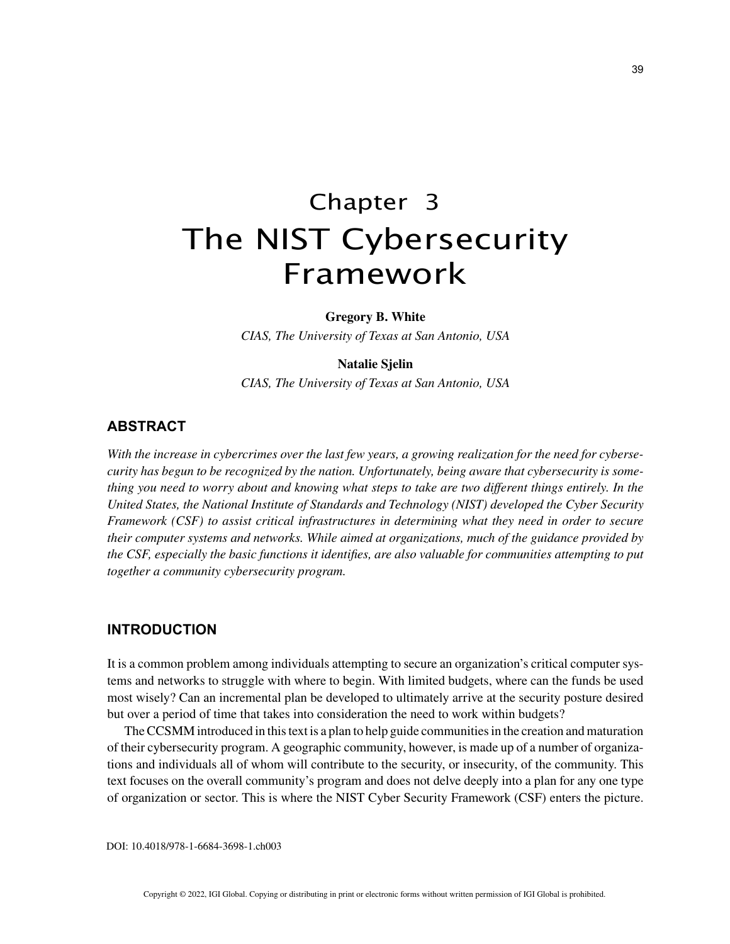# Chapter 3 The NIST Cybersecurity Framework

#### **Gregory B. White**

*CIAS, The University of Texas at San Antonio, USA*

## **Natalie Sjelin**

*CIAS, The University of Texas at San Antonio, USA*

## **ABSTRACT**

*With the increase in cybercrimes over the last few years, a growing realization for the need for cybersecurity has begun to be recognized by the nation. Unfortunately, being aware that cybersecurity is something you need to worry about and knowing what steps to take are two different things entirely. In the United States, the National Institute of Standards and Technology (NIST) developed the Cyber Security Framework (CSF) to assist critical infrastructures in determining what they need in order to secure their computer systems and networks. While aimed at organizations, much of the guidance provided by the CSF, especially the basic functions it identifies, are also valuable for communities attempting to put together a community cybersecurity program.*

## **INTRODUCTION**

It is a common problem among individuals attempting to secure an organization's critical computer systems and networks to struggle with where to begin. With limited budgets, where can the funds be used most wisely? Can an incremental plan be developed to ultimately arrive at the security posture desired but over a period of time that takes into consideration the need to work within budgets?

The CCSMM introduced in this text is a plan to help guide communities in the creation and maturation of their cybersecurity program. A geographic community, however, is made up of a number of organizations and individuals all of whom will contribute to the security, or insecurity, of the community. This text focuses on the overall community's program and does not delve deeply into a plan for any one type of organization or sector. This is where the NIST Cyber Security Framework (CSF) enters the picture.

DOI: 10.4018/978-1-6684-3698-1.ch003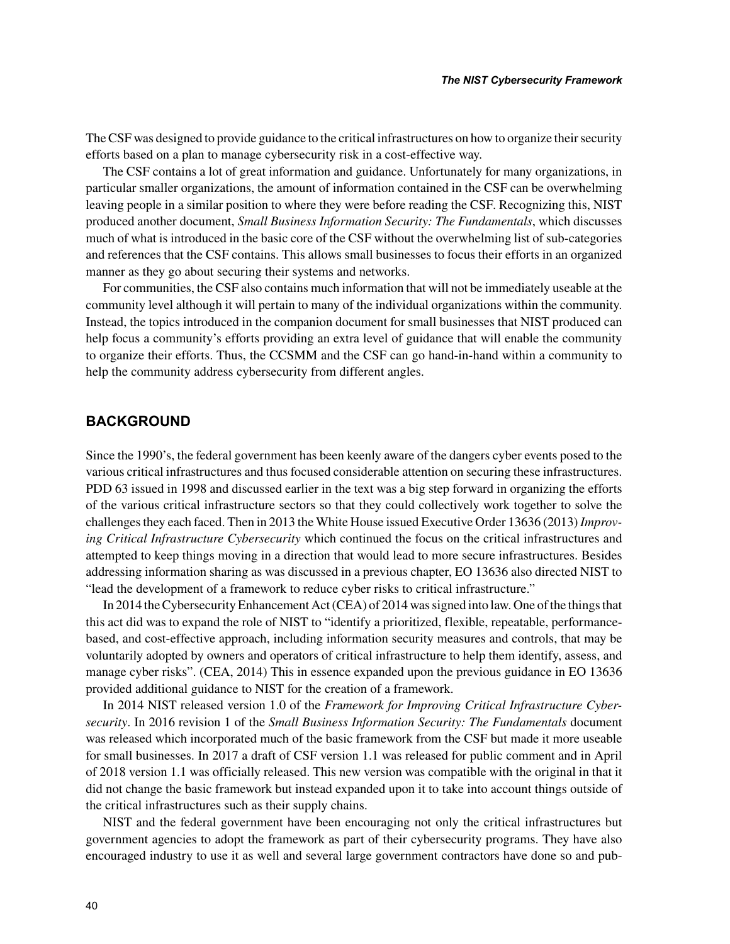The CSF was designed to provide guidance to the critical infrastructures on how to organize their security efforts based on a plan to manage cybersecurity risk in a cost-effective way.

The CSF contains a lot of great information and guidance. Unfortunately for many organizations, in particular smaller organizations, the amount of information contained in the CSF can be overwhelming leaving people in a similar position to where they were before reading the CSF. Recognizing this, NIST produced another document, *Small Business Information Security: The Fundamentals*, which discusses much of what is introduced in the basic core of the CSF without the overwhelming list of sub-categories and references that the CSF contains. This allows small businesses to focus their efforts in an organized manner as they go about securing their systems and networks.

For communities, the CSF also contains much information that will not be immediately useable at the community level although it will pertain to many of the individual organizations within the community. Instead, the topics introduced in the companion document for small businesses that NIST produced can help focus a community's efforts providing an extra level of guidance that will enable the community to organize their efforts. Thus, the CCSMM and the CSF can go hand-in-hand within a community to help the community address cybersecurity from different angles.

## **BACKGROUND**

Since the 1990's, the federal government has been keenly aware of the dangers cyber events posed to the various critical infrastructures and thus focused considerable attention on securing these infrastructures. PDD 63 issued in 1998 and discussed earlier in the text was a big step forward in organizing the efforts of the various critical infrastructure sectors so that they could collectively work together to solve the challenges they each faced. Then in 2013 the White House issued Executive Order 13636 (2013) *Improving Critical Infrastructure Cybersecurity* which continued the focus on the critical infrastructures and attempted to keep things moving in a direction that would lead to more secure infrastructures. Besides addressing information sharing as was discussed in a previous chapter, EO 13636 also directed NIST to "lead the development of a framework to reduce cyber risks to critical infrastructure."

In 2014 the Cybersecurity Enhancement Act (CEA) of 2014 was signed into law. One of the things that this act did was to expand the role of NIST to "identify a prioritized, flexible, repeatable, performancebased, and cost-effective approach, including information security measures and controls, that may be voluntarily adopted by owners and operators of critical infrastructure to help them identify, assess, and manage cyber risks". (CEA, 2014) This in essence expanded upon the previous guidance in EO 13636 provided additional guidance to NIST for the creation of a framework.

In 2014 NIST released version 1.0 of the *Fr*a*mework for Improving Critical Infrastructure Cybersecurity*. In 2016 revision 1 of the *Small Business Information Security: The Fundamentals* document was released which incorporated much of the basic framework from the CSF but made it more useable for small businesses. In 2017 a draft of CSF version 1.1 was released for public comment and in April of 2018 version 1.1 was officially released. This new version was compatible with the original in that it did not change the basic framework but instead expanded upon it to take into account things outside of the critical infrastructures such as their supply chains.

NIST and the federal government have been encouraging not only the critical infrastructures but government agencies to adopt the framework as part of their cybersecurity programs. They have also encouraged industry to use it as well and several large government contractors have done so and pub